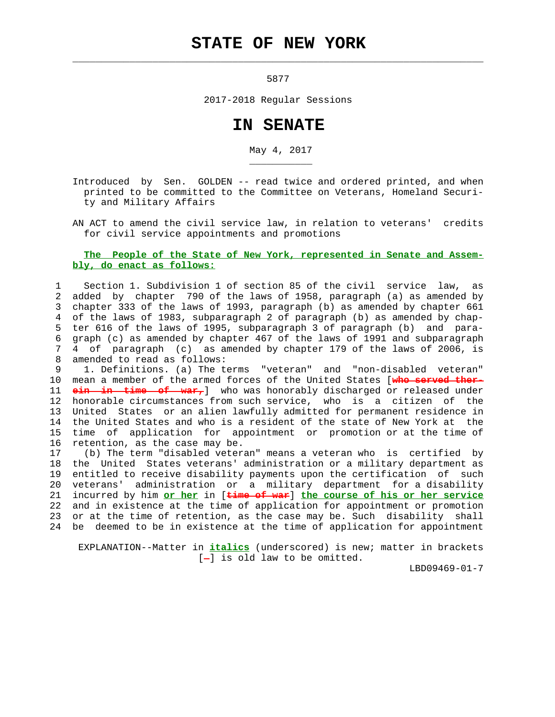## **STATE OF NEW YORK**

5877

 $\mathcal{L}_\text{max} = \frac{1}{2} \sum_{i=1}^{n} \frac{1}{2} \sum_{i=1}^{n} \frac{1}{2} \sum_{i=1}^{n} \frac{1}{2} \sum_{i=1}^{n} \frac{1}{2} \sum_{i=1}^{n} \frac{1}{2} \sum_{i=1}^{n} \frac{1}{2} \sum_{i=1}^{n} \frac{1}{2} \sum_{i=1}^{n} \frac{1}{2} \sum_{i=1}^{n} \frac{1}{2} \sum_{i=1}^{n} \frac{1}{2} \sum_{i=1}^{n} \frac{1}{2} \sum_{i=1}^{n} \frac{1$ 

\_\_\_\_\_\_\_\_\_\_\_

2017-2018 Regular Sessions

## **IN SENATE**

May 4, 2017

 Introduced by Sen. GOLDEN -- read twice and ordered printed, and when printed to be committed to the Committee on Veterans, Homeland Securi ty and Military Affairs

 AN ACT to amend the civil service law, in relation to veterans' credits for civil service appointments and promotions

## **The People of the State of New York, represented in Senate and Assem bly, do enact as follows:**

 1 Section 1. Subdivision 1 of section 85 of the civil service law, as 2 added by chapter 790 of the laws of 1958, paragraph (a) as amended by 3 chapter 333 of the laws of 1993, paragraph (b) as amended by chapter 661 4 of the laws of 1983, subparagraph 2 of paragraph (b) as amended by chap- 5 ter 616 of the laws of 1995, subparagraph 3 of paragraph (b) and para- 6 graph (c) as amended by chapter 467 of the laws of 1991 and subparagraph 7 4 of paragraph (c) as amended by chapter 179 of the laws of 2006, is 8 amended to read as follows:

 9 1. Definitions. (a) The terms "veteran" and "non-disabled veteran" 10 mean a member of the armed forces of the United States [**who served ther-** 11 **ein in time of war,**] who was honorably discharged or released under 12 honorable circumstances from such service, who is a citizen of the 13 United States or an alien lawfully admitted for permanent residence in 14 the United States and who is a resident of the state of New York at the 15 time of application for appointment or promotion or at the time of 16 retention, as the case may be.

 17 (b) The term "disabled veteran" means a veteran who is certified by 18 the United States veterans' administration or a military department as 19 entitled to receive disability payments upon the certification of such 20 veterans' administration or a military department for a disability 21 incurred by him **or her** in [**time of war**] **the course of his or her service** 22 and in existence at the time of application for appointment or promotion 23 or at the time of retention, as the case may be. Such disability shall 24 be deemed to be in existence at the time of application for appointment

 EXPLANATION--Matter in **italics** (underscored) is new; matter in brackets  $[-]$  is old law to be omitted.

LBD09469-01-7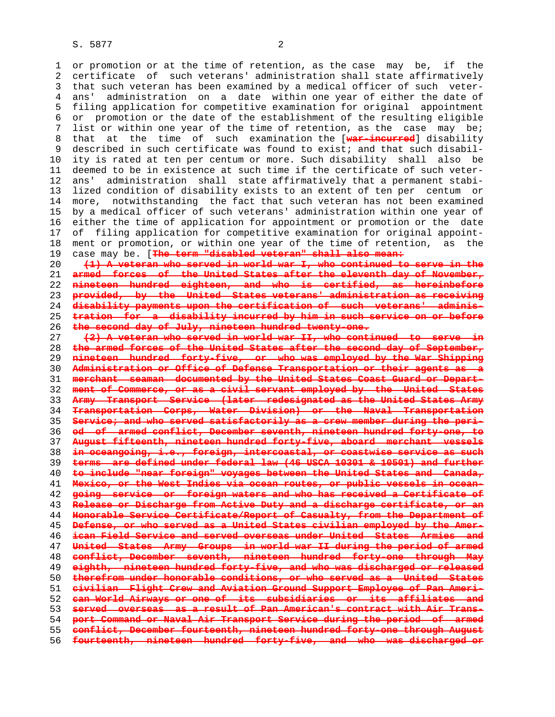1 or promotion or at the time of retention, as the case may be, if the 2 certificate of such veterans' administration shall state affirmatively 3 that such veteran has been examined by a medical officer of such veter- 4 ans' administration on a date within one year of either the date of 5 filing application for competitive examination for original appointment 6 or promotion or the date of the establishment of the resulting eligible 7 list or within one year of the time of retention, as the case may be;

 8 that at the time of such examination the [**war-incurred**] disability 9 described in such certificate was found to exist; and that such disabil- 10 ity is rated at ten per centum or more. Such disability shall also be 11 deemed to be in existence at such time if the certificate of such veter- 12 ans' administration shall state affirmatively that a permanent stabi- 13 lized condition of disability exists to an extent of ten per centum or 14 more, notwithstanding the fact that such veteran has not been examined 15 by a medical officer of such veterans' administration within one year of 16 either the time of application for appointment or promotion or the date 17 of filing application for competitive examination for original appoint- 18 ment or promotion, or within one year of the time of retention, as the 19 case may be. [**The term "disabled veteran" shall also mean:**

**(1) A veteran who served in world war I, who continued to serve in the armed forces of the United States after the eleventh day of November, nineteen hundred eighteen, and who is certified, as hereinbefore provided, by the United States veterans' administration as receiving disability payments upon the certification of such veterans' adminis- tration for a disability incurred by him in such service on or before the second day of July, nineteen hundred twenty-one.**

**(2) A veteran who served in world war II, who continued to serve in the armed forces of the United States after the second day of September, nineteen hundred forty-five, or who was employed by the War Shipping Administration or Office of Defense Transportation or their agents as a merchant seaman documented by the United States Coast Guard or Depart- ment of Commerce, or as a civil servant employed by the United States Army Transport Service (later redesignated as the United States Army Transportation Corps, Water Division) or the Naval Transportation Service; and who served satisfactorily as a crew member during the peri- od of armed conflict, December seventh, nineteen hundred forty-one, to August fifteenth, nineteen hundred forty-five, aboard merchant vessels in oceangoing, i.e., foreign, intercoastal, or coastwise service as such terms are defined under federal law (46 USCA 10301 & 10501) and further to include "near foreign" voyages between the United States and Canada, Mexico, or the West Indies via ocean routes, or public vessels in ocean- going service or foreign waters and who has received a Certificate of Release or Discharge from Active Duty and a discharge certificate, or an Honorable Service Certificate/Report of Casualty, from the Department of Defense, or who served as a United States civilian employed by the Amer- ican Field Service and served overseas under United States Armies and United States Army Groups in world war II during the period of armed conflict, December seventh, nineteen hundred forty-one through May eighth, nineteen hundred forty-five, and who was discharged or released therefrom under honorable conditions, or who served as a United States civilian Flight Crew and Aviation Ground Support Employee of Pan Ameri- can World Airways or one of its subsidiaries or its affiliates and served overseas as a result of Pan American's contract with Air Trans- port Command or Naval Air Transport Service during the period of armed conflict, December fourteenth, nineteen hundred forty-one through August fourteenth, nineteen hundred forty-five, and who was discharged or**